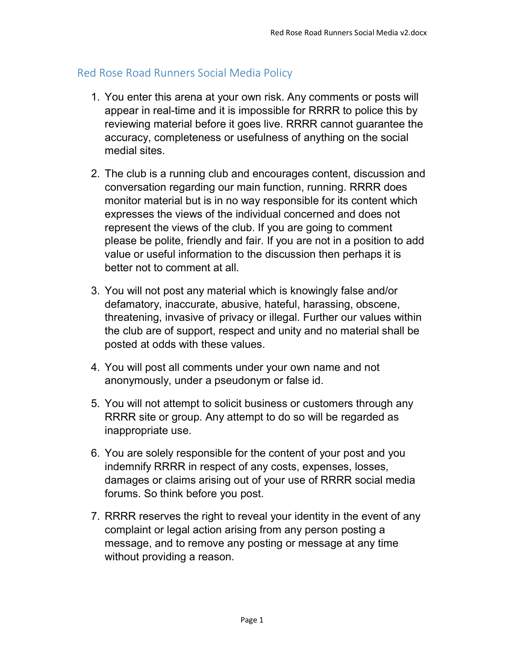## Red Rose Road Runners Social Media Policy

- 1. You enter this arena at your own risk. Any comments or posts will appear in real-time and it is impossible for RRRR to police this by reviewing material before it goes live. RRRR cannot guarantee the accuracy, completeness or usefulness of anything on the social medial sites.
- 2. The club is a running club and encourages content, discussion and conversation regarding our main function, running. RRRR does monitor material but is in no way responsible for its content which expresses the views of the individual concerned and does not represent the views of the club. If you are going to comment please be polite, friendly and fair. If you are not in a position to add value or useful information to the discussion then perhaps it is better not to comment at all.
- 3. You will not post any material which is knowingly false and/or defamatory, inaccurate, abusive, hateful, harassing, obscene, threatening, invasive of privacy or illegal. Further our values within the club are of support, respect and unity and no material shall be posted at odds with these values.
- 4. You will post all comments under your own name and not anonymously, under a pseudonym or false id.
- 5. You will not attempt to solicit business or customers through any RRRR site or group. Any attempt to do so will be regarded as inappropriate use.
- 6. You are solely responsible for the content of your post and you indemnify RRRR in respect of any costs, expenses, losses, damages or claims arising out of your use of RRRR social media forums. So think before you post.
- 7. RRRR reserves the right to reveal your identity in the event of any complaint or legal action arising from any person posting a message, and to remove any posting or message at any time without providing a reason.